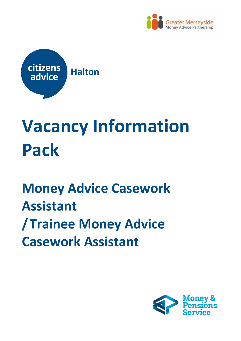



# **Vacancy Information Pack**

## **Money Advice Casework Assistant /Trainee Money Advice Casework Assistant**

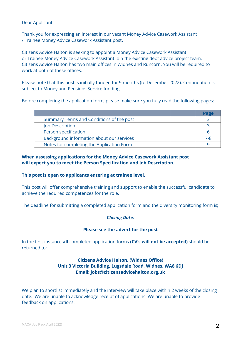#### Dear Applicant

Thank you for expressing an interest in our vacant Money Advice Casework Assistant / Trainee Money Advice Casework Assistant post**.**

Citizens Advice Halton is seeking to appoint a Money Advice Casework Assistant or Trainee Money Advice Casework Assistant join the existing debt advice project team. Citizens Advice Halton has two main offices in Widnes and Runcorn. You will be required to work at both of these offices.

Please note that this post is initially funded for 9 months (to December 2022). Continuation is subject to Money and Pensions Service funding.

Before completing the application form, please make sure you fully read the following pages:

|                                           | Page |
|-------------------------------------------|------|
| Summary Terms and Conditions of the post  |      |
| <b>Job Description</b>                    |      |
| Person specification                      |      |
| Background information about our services | 7-8  |
| Notes for completing the Application Form |      |

#### **When assessing applications for the Money Advice Casework Assistant post will expect you to meet the Person Specification and Job Description.**

#### **This post is open to applicants entering at trainee level.**

This post will offer comprehensive training and support to enable the successful candidate to achieve the required competences for the role.

The deadline for submitting a completed application form and the diversity monitoring form is;

#### *Closing Date:*

#### **Please see the advert for the post**

In the first instance **all** completed application forms **(CV's will not be accepted)** should be returned to;

#### **Citizens Advice Halton, (Widnes Office) Unit 3 Victoria Building, Lugsdale Road, Widnes, WA8 6DJ Email: jobs@citizensadvicehalton.org.uk**

We plan to shortlist immediately and the interview will take place within 2 weeks of the closing date. We are unable to acknowledge receipt of applications. We are unable to provide feedback on applications.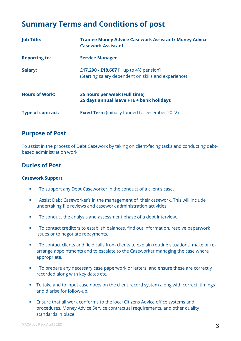### **Summary Terms and Conditions of post**

| <b>Job Title:</b>        | <b>Trainee Money Advice Casework Assistant/ Money Advice</b><br><b>Casework Assistant</b>      |
|--------------------------|------------------------------------------------------------------------------------------------|
| <b>Reporting to:</b>     | <b>Service Manager</b>                                                                         |
| Salary:                  | £17,290 - £18,607 [+ up to 4% pension]<br>(Starting salary dependent on skills and experience) |
| <b>Hours of Work:</b>    | 35 hours per week (Full time)<br>25 days annual leave FTE + bank holidays                      |
| <b>Type of contract:</b> | <b>Fixed Term</b> (initially funded to December 2022)                                          |

#### **Purpose of Post**

To assist in the process of Debt Casework by taking on client-facing tasks and conducting debtbased administration work.

#### **Duties of Post**

#### **Casework Support**

- To support any Debt Caseworker in the conduct of a client's case.
- Assist Debt Caseworker's in the management of their casework. This will include undertaking file reviews and casework administration activities.
- To conduct the analysis and assessment phase of a debt interview.
- To contact creditors to establish balances, find out information, resolve paperwork issues or to negotiate repayments.
- To contact clients and field calls from clients to explain routine situations, make or rearrange appointments and to escalate to the Caseworker managing the case where appropriate.
- To prepare any necessary case paperwork or letters, and ensure these are correctly recorded along with key dates etc.
- To take and to input case notes on the client record system along with correct timings and diarise for follow-up.
- Ensure that all work conforms to the local Citizens Advice office systems and procedures, Money Advice Service contractual requirements, and other quality standards in place.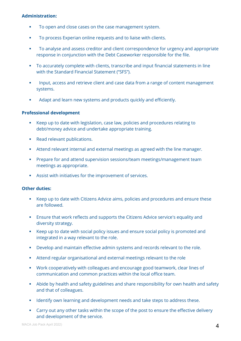#### **Administration:**

- To open and close cases on the case management system.
- To process Experian online requests and to liaise with clients.
- To analyse and assess creditor and client correspondence for urgency and appropriate response in conjunction with the Debt Caseworker responsible for the file.
- To accurately complete with clients, transcribe and input financial statements in line with the Standard Financial Statement ("SFS").
- **Input, access and retrieve client and case data from a range of content management** systems.
- Adapt and learn new systems and products quickly and efficiently.

#### **Professional development**

- Keep up to date with legislation, case law, policies and procedures relating to debt/money advice and undertake appropriate training.
- Read relevant publications.
- Attend relevant internal and external meetings as agreed with the line manager.
- **Prepare for and attend supervision sessions/team meetings/management team** meetings as appropriate.
- Assist with initiatives for the improvement of services.

#### **Other duties:**

- Keep up to date with Citizens Advice aims, policies and procedures and ensure these are followed.
- Ensure that work reflects and supports the Citizens Advice service's equality and diversity strategy.
- Keep up to date with social policy issues and ensure social policy is promoted and integrated in a way relevant to the role.
- Develop and maintain effective admin systems and records relevant to the role.
- Attend regular organisational and external meetings relevant to the role
- Work cooperatively with colleagues and encourage good teamwork, clear lines of communication and common practices within the local office team.
- Abide by health and safety guidelines and share responsibility for own health and safety and that of colleagues.
- Identify own learning and development needs and take steps to address these.
- Carry out any other tasks within the scope of the post to ensure the effective delivery and development of the service.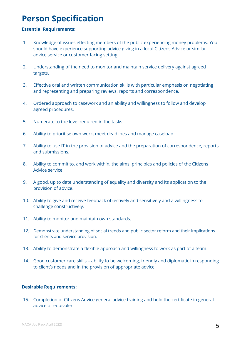### **Person Specification**

#### **Essential Requirements:**

- 1. Knowledge of issues effecting members of the public experiencing money problems. You should have experience supporting advice giving in a local Citizens Advice or similar advice service or customer facing setting.
- 2. Understanding of the need to monitor and maintain service delivery against agreed targets.
- 3. Effective oral and written communication skills with particular emphasis on negotiating and representing and preparing reviews, reports and correspondence.
- 4. Ordered approach to casework and an ability and willingness to follow and develop agreed procedures.
- 5. Numerate to the level required in the tasks.
- 6. Ability to prioritise own work, meet deadlines and manage caseload.
- 7. Ability to use IT in the provision of advice and the preparation of correspondence, reports and submissions.
- 8. Ability to commit to, and work within, the aims, principles and policies of the Citizens Advice service.
- 9. A good, up to date understanding of equality and diversity and its application to the provision of advice.
- 10. Ability to give and receive feedback objectively and sensitively and a willingness to challenge constructively.
- 11. Ability to monitor and maintain own standards.
- 12. Demonstrate understanding of social trends and public sector reform and their implications for clients and service provision.
- 13. Ability to demonstrate a flexible approach and willingness to work as part of a team.
- 14. Good customer care skills ability to be welcoming, friendly and diplomatic in responding to client's needs and in the provision of appropriate advice.

#### **Desirable Requirements:**

15. Completion of Citizens Advice general advice training and hold the certificate in general advice or equivalent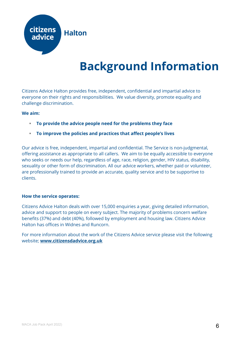

## **Background Information**

Citizens Advice Halton provides free, independent, confidential and impartial advice to everyone on their rights and responsibilities. We value diversity, promote equality and challenge discrimination.

#### **We aim:**

- **To provide the advice people need for the problems they face**
- **To improve the policies and practices that affect people's lives**

Our advice is free, independent, impartial and confidential. The Service is non-judgmental, offering assistance as appropriate to all callers. We aim to be equally accessible to everyone who seeks or needs our help, regardless of age, race, religion, gender, HIV status, disability, sexuality or other form of discrimination. All our advice workers, whether paid or volunteer, are professionally trained to provide an accurate, quality service and to be supportive to clients.

#### **How the service operates:**

Citizens Advice Halton deals with over 15,000 enquiries a year, giving detailed information, advice and support to people on every subject. The majority of problems concern welfare benefits (37%) and debt (40%), followed by employment and housing law. Citizens Advice Halton has offices in Widnes and Runcorn.

For more information about the work of the Citizens Advice service please visit the following website; **[www.citizensdadvice.org.uk](http://www.citizensdadvice.org.uk/)**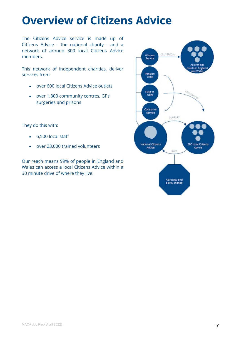## **Overview of Citizens Advice**

The Citizens Advice service is made up of Citizens Advice - the national charity - and a network of around 300 local Citizens Advice members.

This network of independent charities, deliver services from

- over 600 local Citizens Advice outlets
- over 1,800 community centres, GPs' surgeries and prisons

They do this with:

- 6,500 local staff
- over 23,000 trained volunteers

Our reach means 99% of people in England and Wales can access a local Citizens Advice within a 30 minute drive of where they live.